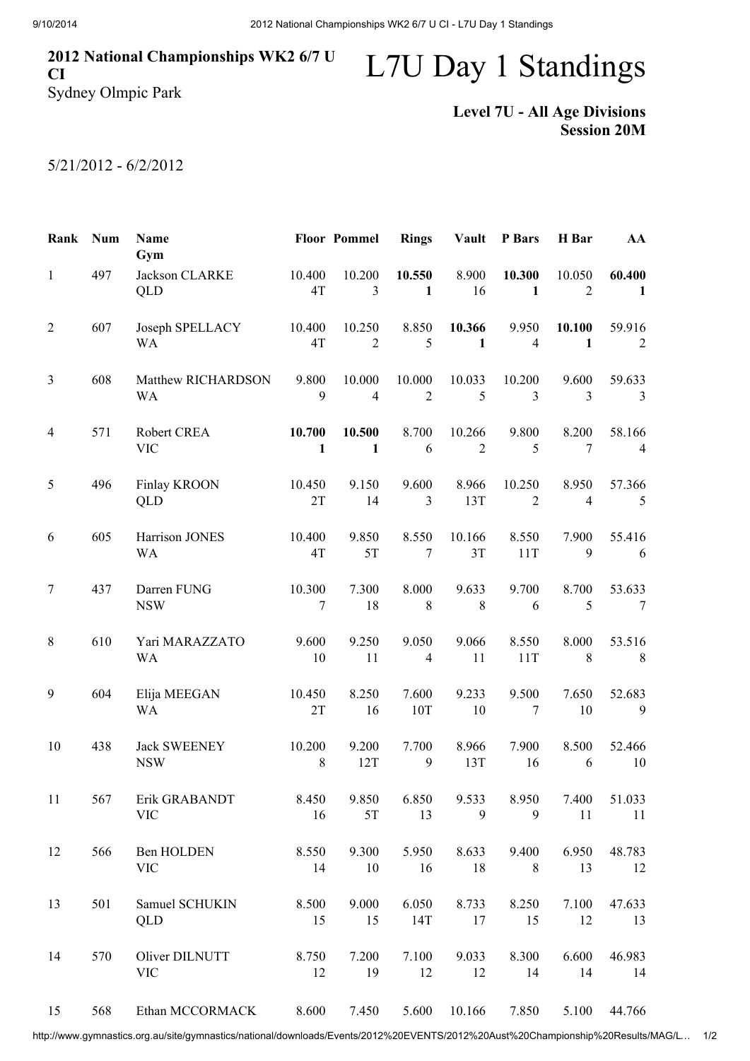## 2012 National Championships WK2 6/7 U CI

## L7U Day 1 Standings

Sydney Olmpic Park

## Level 7U - All Age Divisions Session 20M

## 5/21/2012 - 6/2/2012

| Rank           | <b>Num</b> | Name<br>Gym                       |                        | <b>Floor Pommel</b>      | <b>Rings</b>             | Vault           | P Bars                   | H Bar                             | AA                       |
|----------------|------------|-----------------------------------|------------------------|--------------------------|--------------------------|-----------------|--------------------------|-----------------------------------|--------------------------|
| $\mathbf{1}$   | 497        | Jackson CLARKE<br>QLD             | 10.400<br>4T           | 10.200<br>3              | 10.550<br>1              | 8.900<br>16     | 10.300<br>1              | 10.050<br>$\overline{2}$          | 60.400<br>1              |
| $\overline{2}$ | 607        | Joseph SPELLACY<br>WA             | 10.400<br>4T           | 10.250<br>$\overline{2}$ | 8.850<br>5               | 10.366<br>1     | 9.950<br>$\overline{4}$  | 10.100<br>1                       | 59.916<br>$\overline{2}$ |
| 3              | 608        | Matthew RICHARDSON<br><b>WA</b>   | 9.800<br>9             | 10.000<br>$\overline{4}$ | 10.000<br>$\overline{2}$ | 10.033<br>5     | 10.200<br>3              | 9.600<br>3                        | 59.633<br>$\mathfrak{Z}$ |
| 4              | 571        | Robert CREA<br><b>VIC</b>         | 10.700<br>$\mathbf{1}$ | 10.500<br>$\mathbf{1}$   | 8.700<br>6               | 10.266<br>2     | 9.800<br>5               | 8.200<br>$\tau$                   | 58.166<br>$\overline{4}$ |
| 5              | 496        | Finlay KROON<br>QLD               | 10.450<br>2T           | 9.150<br>14              | 9.600<br>3               | 8.966<br>13T    | 10.250<br>$\overline{2}$ | 8.950<br>$\overline{\mathcal{A}}$ | 57.366<br>5              |
| 6              | 605        | Harrison JONES<br><b>WA</b>       | 10.400<br>4T           | 9.850<br>5T              | 8.550<br>7               | 10.166<br>3T    | 8.550<br>11T             | 7.900<br>9                        | 55.416<br>6              |
| 7              | 437        | Darren FUNG<br><b>NSW</b>         | 10.300<br>7            | 7.300<br>18              | 8.000<br>8               | 9.633<br>8      | 9.700<br>6               | 8.700<br>5                        | 53.633<br>$\tau$         |
| 8              | 610        | Yari MARAZZATO<br>WA              | 9.600<br>10            | 9.250<br>11              | 9.050<br>$\overline{4}$  | 9.066<br>11     | 8.550<br>11T             | 8.000<br>8                        | 53.516<br>8              |
| 9              | 604        | Elija MEEGAN<br><b>WA</b>         | 10.450<br>2T           | 8.250<br>16              | 7.600<br>10T             | 9.233<br>$10\,$ | 9.500<br>7               | 7.650<br>10                       | 52.683<br>9              |
| $10\,$         | 438        | <b>Jack SWEENEY</b><br><b>NSW</b> | 10.200<br>8            | 9.200<br>12T             | 7.700<br>9               | 8.966<br>13T    | 7.900<br>16              | 8.500<br>6                        | 52.466<br>10             |
| 11             | 567        | Erik GRABANDT<br><b>VIC</b>       | 8.450<br>16            | 9.850<br>5T              | 6.850<br>13              | 9.533<br>9      | 8.950<br>9               | 7.400<br>11                       | 51.033<br>11             |
| 12             | 566        | Ben HOLDEN<br><b>VIC</b>          | 8.550<br>14            | 9.300<br>10              | 5.950<br>16              | 8.633<br>18     | 9.400<br>8               | 6.950<br>13                       | 48.783<br>12             |
| 13             | 501        | Samuel SCHUKIN<br><b>QLD</b>      | 8.500<br>15            | 9.000<br>15              | 6.050<br>14T             | 8.733<br>17     | 8.250<br>15              | 7.100<br>12                       | 47.633<br>13             |
| 14             | 570        | Oliver DILNUTT<br><b>VIC</b>      | 8.750<br>12            | 7.200<br>19              | 7.100<br>12              | 9.033<br>12     | 8.300<br>14              | 6.600<br>14                       | 46.983<br>14             |
| 15             | 568        | Ethan MCCORMACK                   | 8.600                  | 7.450                    | 5.600                    | 10.166          | 7.850                    | 5.100                             | 44.766                   |